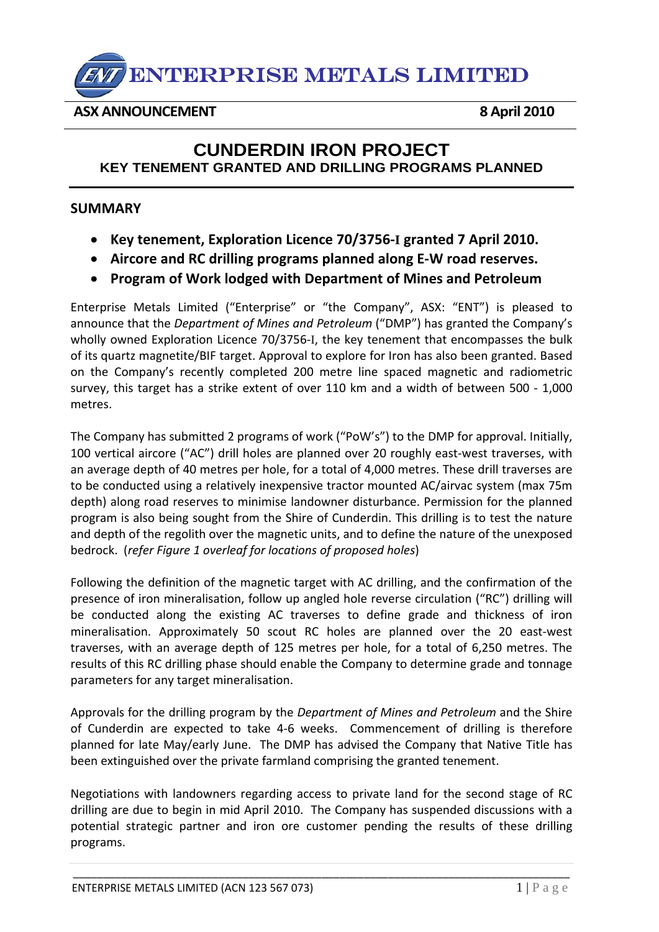

## **ASX ANNOUNCEMENT 8 April 2010**

## **CUNDERDIN IRON PROJECT KEY TENEMENT GRANTED AND DRILLING PROGRAMS PLANNED**

## **SUMMARY**

- **Key tenement, Exploration Licence 70/3756‐I granted 7 April 2010.**
- **Aircore and RC drilling programs planned along E‐W road reserves.**
- **Program of Work lodged with Department of Mines and Petroleum**

Enterprise Metals Limited ("Enterprise" or "the Company", ASX: "ENT") is pleased to announce that the *Department of Mines and Petroleum* ("DMP") has granted the Company's wholly owned Exploration Licence 70/3756-I, the key tenement that encompasses the bulk of its quartz magnetite/BIF target. Approval to explore for Iron has also been granted. Based on the Company's recently completed 200 metre line spaced magnetic and radiometric survey, this target has a strike extent of over 110 km and a width of between 500 - 1,000 metres.

The Company has submitted 2 programs of work ("PoW's") to the DMP for approval. Initially, 100 vertical aircore ("AC") drill holes are planned over 20 roughly east-west traverses, with an average depth of 40 metres per hole, for a total of 4,000 metres. These drill traverses are to be conducted using a relatively inexpensive tractor mounted AC/airvac system (max 75m depth) along road reserves to minimise landowner disturbance. Permission for the planned program is also being sought from the Shire of Cunderdin. This drilling is to test the nature and depth of the regolith over the magnetic units, and to define the nature of the unexposed bedrock. (*refer Figure 1 overleaf for locations of proposed holes*)

Following the definition of the magnetic target with AC drilling, and the confirmation of the presence of iron mineralisation, follow up angled hole reverse circulation ("RC") drilling will be conducted along the existing AC traverses to define grade and thickness of iron mineralisation. Approximately 50 scout RC holes are planned over the 20 east-west traverses, with an average depth of 125 metres per hole, for a total of 6,250 metres. The results of this RC drilling phase should enable the Company to determine grade and tonnage parameters for any target mineralisation.

Approvals for the drilling program by the *Department of Mines and Petroleum* and the Shire of Cunderdin are expected to take 4‐6 weeks. Commencement of drilling is therefore planned for late May/early June. The DMP has advised the Company that Native Title has been extinguished over the private farmland comprising the granted tenement.

Negotiations with landowners regarding access to private land for the second stage of RC drilling are due to begin in mid April 2010. The Company has suspended discussions with a potential strategic partner and iron ore customer pending the results of these drilling programs.

\_\_\_\_\_\_\_\_\_\_\_\_\_\_\_\_\_\_\_\_\_\_\_\_\_\_\_\_\_\_\_\_\_\_\_\_\_\_\_\_\_\_\_\_\_\_\_\_\_\_\_\_\_\_\_\_\_\_\_\_\_\_\_\_\_\_\_\_\_\_\_\_\_\_\_\_\_\_\_\_\_\_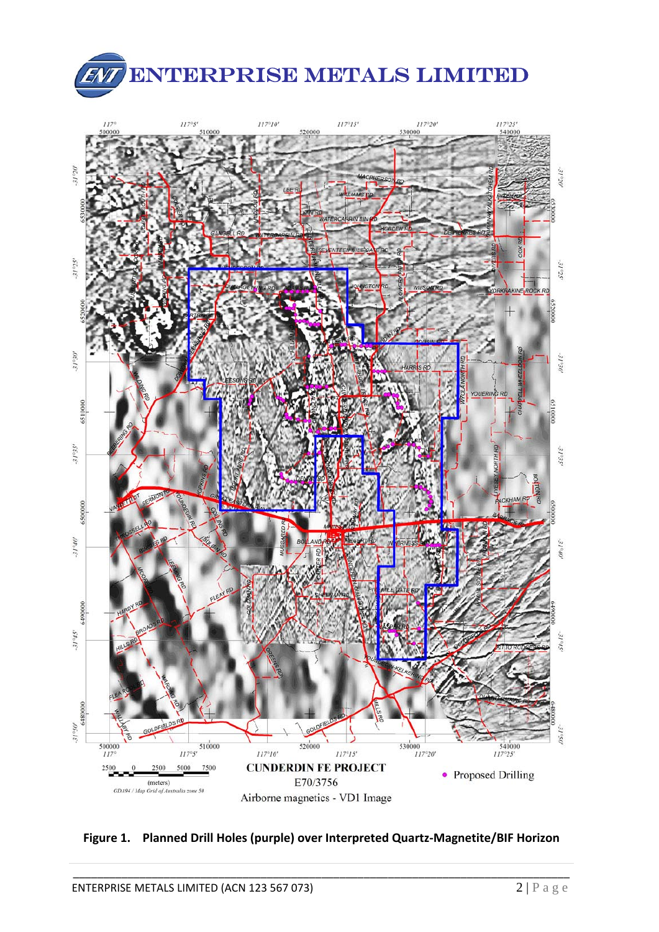





\_\_\_\_\_\_\_\_\_\_\_\_\_\_\_\_\_\_\_\_\_\_\_\_\_\_\_\_\_\_\_\_\_\_\_\_\_\_\_\_\_\_\_\_\_\_\_\_\_\_\_\_\_\_\_\_\_\_\_\_\_\_\_\_\_\_\_\_\_\_\_\_\_\_\_\_\_\_\_\_\_\_